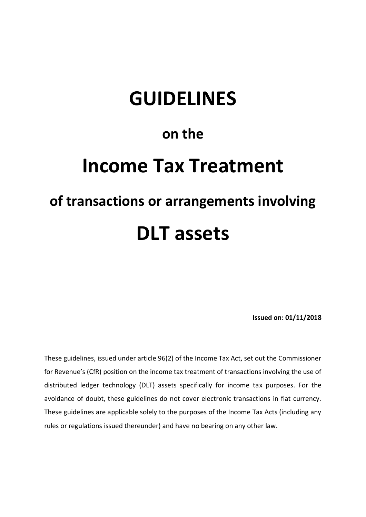# **GUIDELINES**

# **on the**

# **Income Tax Treatment of transactions or arrangements involving**

# **DLT assets**

**Issued on: 01/11/2018**

These guidelines, issued under article 96(2) of the Income Tax Act, set out the Commissioner for Revenue's (CfR) position on the income tax treatment of transactions involving the use of distributed ledger technology (DLT) assets specifically for income tax purposes. For the avoidance of doubt, these guidelines do not cover electronic transactions in fiat currency. These guidelines are applicable solely to the purposes of the Income Tax Acts (including any rules or regulations issued thereunder) and have no bearing on any other law.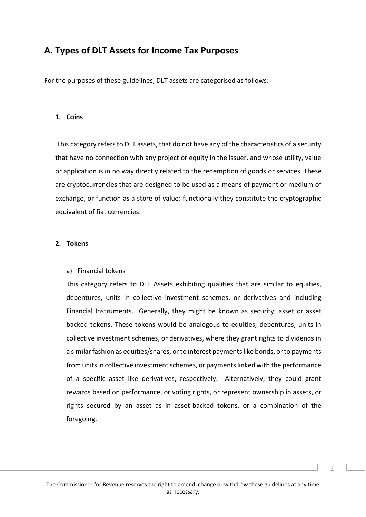# **A. Types of DLT Assets for Income Tax Purposes**

For the purposes of these guidelines, DLT assets are categorised as follows:

# **1. Coins**

This category refers to DLT assets, that do not have any of the characteristics of a security that have no connection with any project or equity in the issuer, and whose utility, value or application is in no way directly related to the redemption of goods or services. These are cryptocurrencies that are designed to be used as a means of payment or medium of exchange, or function as a store of value: functionally they constitute the cryptographic equivalent of fiat currencies.

## **2. Tokens**

# a) Financial tokens

This category refers to DLT Assets exhibiting qualities that are similar to equities, debentures, units in collective investment schemes, or derivatives and including Financial Instruments. Generally, they might be known as security, asset or asset backed tokens. These tokens would be analogous to equities, debentures, units in collective investment schemes, or derivatives, where they grant rights to dividends in a similar fashion as equities/shares, or to interest payments like bonds, or to payments from units in collective investment schemes, or payments linked with the performance of a specific asset like derivatives, respectively. Alternatively, they could grant rewards based on performance, or voting rights, or represent ownership in assets, or rights secured by an asset as in asset-backed tokens, or a combination of the foregoing.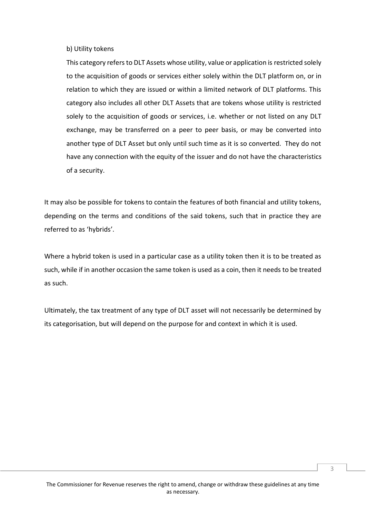## b) Utility tokens

This category refers to DLT Assets whose utility, value or application is restricted solely to the acquisition of goods or services either solely within the DLT platform on, or in relation to which they are issued or within a limited network of DLT platforms. This category also includes all other DLT Assets that are tokens whose utility is restricted solely to the acquisition of goods or services, i.e. whether or not listed on any DLT exchange, may be transferred on a peer to peer basis, or may be converted into another type of DLT Asset but only until such time as it is so converted. They do not have any connection with the equity of the issuer and do not have the characteristics of a security.

It may also be possible for tokens to contain the features of both financial and utility tokens, depending on the terms and conditions of the said tokens, such that in practice they are referred to as 'hybrids'.

Where a hybrid token is used in a particular case as a utility token then it is to be treated as such, while if in another occasion the same token is used as a coin, then it needs to be treated as such.

Ultimately, the tax treatment of any type of DLT asset will not necessarily be determined by its categorisation, but will depend on the purpose for and context in which it is used.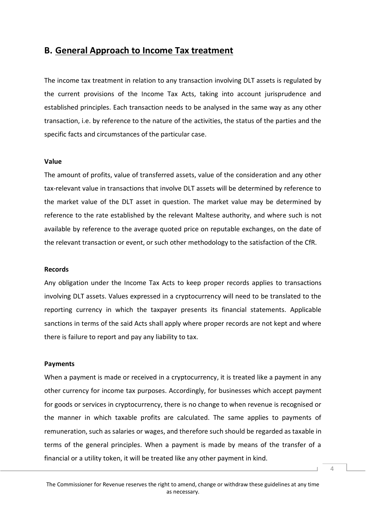# **B. General Approach to Income Tax treatment**

The income tax treatment in relation to any transaction involving DLT assets is regulated by the current provisions of the Income Tax Acts, taking into account jurisprudence and established principles. Each transaction needs to be analysed in the same way as any other transaction, i.e. by reference to the nature of the activities, the status of the parties and the specific facts and circumstances of the particular case.

#### **Value**

The amount of profits, value of transferred assets, value of the consideration and any other tax-relevant value in transactions that involve DLT assets will be determined by reference to the market value of the DLT asset in question. The market value may be determined by reference to the rate established by the relevant Maltese authority, and where such is not available by reference to the average quoted price on reputable exchanges, on the date of the relevant transaction or event, or such other methodology to the satisfaction of the CfR.

#### **Records**

Any obligation under the Income Tax Acts to keep proper records applies to transactions involving DLT assets. Values expressed in a cryptocurrency will need to be translated to the reporting currency in which the taxpayer presents its financial statements. Applicable sanctions in terms of the said Acts shall apply where proper records are not kept and where there is failure to report and pay any liability to tax.

#### **Payments**

When a payment is made or received in a cryptocurrency, it is treated like a payment in any other currency for income tax purposes. Accordingly, for businesses which accept payment for goods or services in cryptocurrency, there is no change to when revenue is recognised or the manner in which taxable profits are calculated. The same applies to payments of remuneration, such as salaries or wages, and therefore such should be regarded as taxable in terms of the general principles. When a payment is made by means of the transfer of a financial or a utility token, it will be treated like any other payment in kind.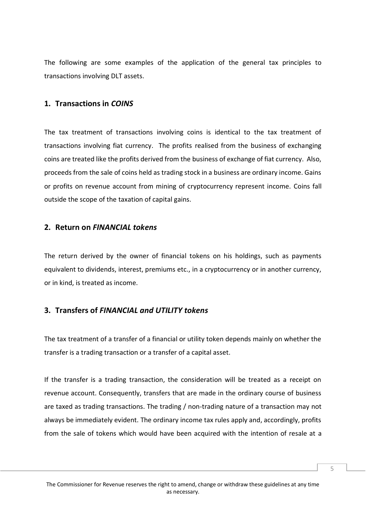The following are some examples of the application of the general tax principles to transactions involving DLT assets.

# **1. Transactions in** *COINS*

The tax treatment of transactions involving coins is identical to the tax treatment of transactions involving fiat currency. The profits realised from the business of exchanging coins are treated like the profits derived from the business of exchange of fiat currency. Also, proceeds from the sale of coins held as trading stock in a business are ordinary income. Gains or profits on revenue account from mining of cryptocurrency represent income. Coins fall outside the scope of the taxation of capital gains.

# **2. Return on** *FINANCIAL tokens*

The return derived by the owner of financial tokens on his holdings, such as payments equivalent to dividends, interest, premiums etc., in a cryptocurrency or in another currency, or in kind, is treated as income.

# **3. Transfers of** *FINANCIAL and UTILITY tokens*

The tax treatment of a transfer of a financial or utility token depends mainly on whether the transfer is a trading transaction or a transfer of a capital asset.

If the transfer is a trading transaction, the consideration will be treated as a receipt on revenue account. Consequently, transfers that are made in the ordinary course of business are taxed as trading transactions. The trading / non-trading nature of a transaction may not always be immediately evident. The ordinary income tax rules apply and, accordingly, profits from the sale of tokens which would have been acquired with the intention of resale at a